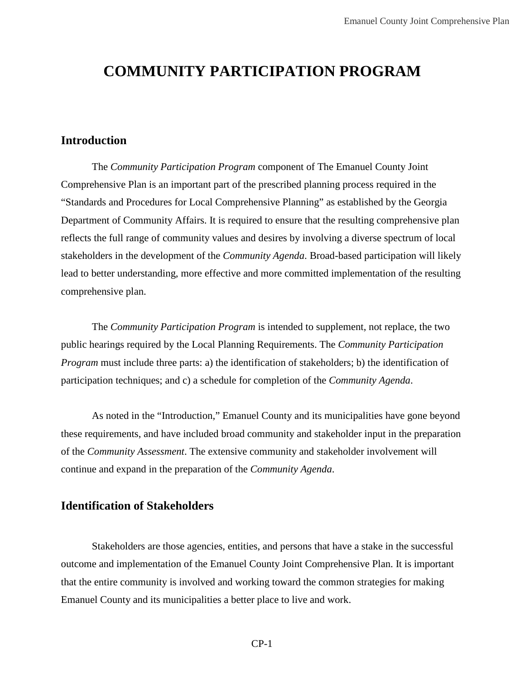# **COMMUNITY PARTICIPATION PROGRAM**

#### **Introduction**

The *Community Participation Program* component of The Emanuel County Joint Comprehensive Plan is an important part of the prescribed planning process required in the "Standards and Procedures for Local Comprehensive Planning" as established by the Georgia Department of Community Affairs. It is required to ensure that the resulting comprehensive plan reflects the full range of community values and desires by involving a diverse spectrum of local stakeholders in the development of the *Community Agenda*. Broad-based participation will likely lead to better understanding, more effective and more committed implementation of the resulting comprehensive plan.

The *Community Participation Program* is intended to supplement, not replace, the two public hearings required by the Local Planning Requirements. The *Community Participation Program* must include three parts: a) the identification of stakeholders; b) the identification of participation techniques; and c) a schedule for completion of the *Community Agenda*.

As noted in the "Introduction," Emanuel County and its municipalities have gone beyond these requirements, and have included broad community and stakeholder input in the preparation of the *Community Assessment*. The extensive community and stakeholder involvement will continue and expand in the preparation of the *Community Agenda*.

#### **Identification of Stakeholders**

Stakeholders are those agencies, entities, and persons that have a stake in the successful outcome and implementation of the Emanuel County Joint Comprehensive Plan. It is important that the entire community is involved and working toward the common strategies for making Emanuel County and its municipalities a better place to live and work.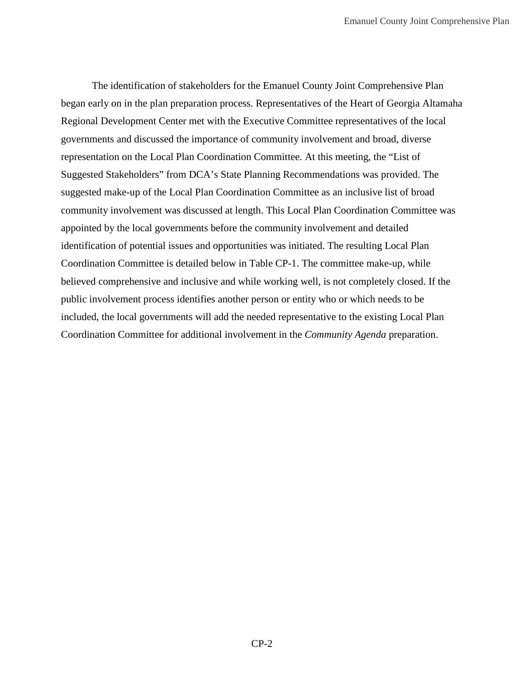The identification of stakeholders for the Emanuel County Joint Comprehensive Plan began early on in the plan preparation process. Representatives of the Heart of Georgia Altamaha Regional Development Center met with the Executive Committee representatives of the local governments and discussed the importance of community involvement and broad, diverse representation on the Local Plan Coordination Committee. At this meeting, the "List of Suggested Stakeholders" from DCA's State Planning Recommendations was provided. The suggested make-up of the Local Plan Coordination Committee as an inclusive list of broad community involvement was discussed at length. This Local Plan Coordination Committee was appointed by the local governments before the community involvement and detailed identification of potential issues and opportunities was initiated. The resulting Local Plan Coordination Committee is detailed below in Table CP-1. The committee make-up, while believed comprehensive and inclusive and while working well, is not completely closed. If the public involvement process identifies another person or entity who or which needs to be included, the local governments will add the needed representative to the existing Local Plan Coordination Committee for additional involvement in the *Community Agenda* preparation.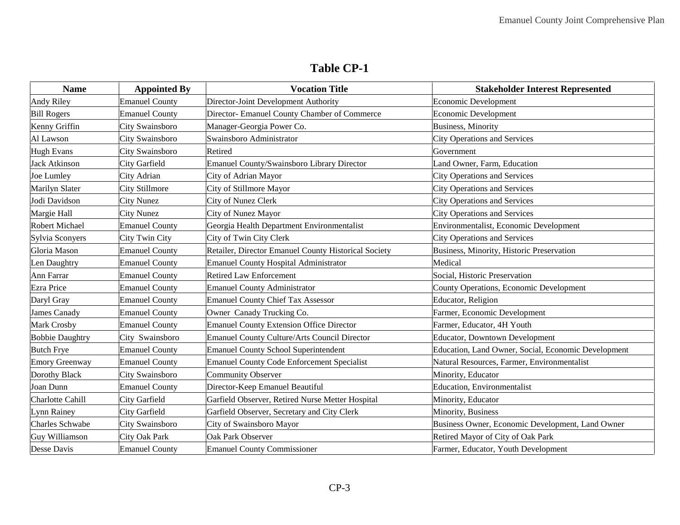### **Table CP-1**

| <b>Name</b>            | <b>Appointed By</b>   | <b>Vocation Title</b>                                | <b>Stakeholder Interest Represented</b>             |
|------------------------|-----------------------|------------------------------------------------------|-----------------------------------------------------|
| Andy Riley             | <b>Emanuel County</b> | Director-Joint Development Authority                 | Economic Development                                |
| <b>Bill Rogers</b>     | <b>Emanuel County</b> | Director- Emanuel County Chamber of Commerce         | <b>Economic Development</b>                         |
| Kenny Griffin          | City Swainsboro       | Manager-Georgia Power Co.                            | <b>Business</b> , Minority                          |
| Al Lawson              | City Swainsboro       | Swainsboro Administrator                             | <b>City Operations and Services</b>                 |
| <b>Hugh Evans</b>      | City Swainsboro       | Retired                                              | Government                                          |
| Jack Atkinson          | City Garfield         | <b>Emanuel County/Swainsboro Library Director</b>    | Land Owner, Farm, Education                         |
| Joe Lumley             | City Adrian           | City of Adrian Mayor                                 | <b>City Operations and Services</b>                 |
| Marilyn Slater         | <b>City Stillmore</b> | City of Stillmore Mayor                              | <b>City Operations and Services</b>                 |
| Jodi Davidson          | <b>City Nunez</b>     | City of Nunez Clerk                                  | <b>City Operations and Services</b>                 |
| Margie Hall            | <b>City Nunez</b>     | City of Nunez Mayor                                  | <b>City Operations and Services</b>                 |
| Robert Michael         | <b>Emanuel County</b> | Georgia Health Department Environmentalist           | Environmentalist, Economic Development              |
| Sylvia Sconyers        | City Twin City        | City of Twin City Clerk                              | <b>City Operations and Services</b>                 |
| Gloria Mason           | <b>Emanuel County</b> | Retailer, Director Emanuel County Historical Society | <b>Business, Minority, Historic Preservation</b>    |
| Len Daughtry           | <b>Emanuel County</b> | <b>Emanuel County Hospital Administrator</b>         | Medical                                             |
| Ann Farrar             | <b>Emanuel County</b> | <b>Retired Law Enforcement</b>                       | Social, Historic Preservation                       |
| Ezra Price             | <b>Emanuel County</b> | <b>Emanuel County Administrator</b>                  | County Operations, Economic Development             |
| Daryl Gray             | <b>Emanuel County</b> | <b>Emanuel County Chief Tax Assessor</b>             | Educator, Religion                                  |
| James Canady           | <b>Emanuel County</b> | Owner Canady Trucking Co.                            | Farmer, Economic Development                        |
| Mark Crosby            | <b>Emanuel County</b> | <b>Emanuel County Extension Office Director</b>      | Farmer, Educator, 4H Youth                          |
| <b>Bobbie Daughtry</b> | City Swainsboro       | Emanuel County Culture/Arts Council Director         | <b>Educator, Downtown Development</b>               |
| <b>Butch Frye</b>      | <b>Emanuel County</b> | <b>Emanuel County School Superintendent</b>          | Education, Land Owner, Social, Economic Development |
| Emory Greenway         | <b>Emanuel County</b> | <b>Emanuel County Code Enforcement Specialist</b>    | Natural Resources, Farmer, Environmentalist         |
| Dorothy Black          | City Swainsboro       | <b>Community Observer</b>                            | Minority, Educator                                  |
| Joan Dunn              | <b>Emanuel County</b> | Director-Keep Emanuel Beautiful                      | <b>Education</b> , Environmentalist                 |
| Charlotte Cahill       | City Garfield         | Garfield Observer, Retired Nurse Metter Hospital     | Minority, Educator                                  |
| Lynn Rainey            | <b>City Garfield</b>  | Garfield Observer, Secretary and City Clerk          | Minority, Business                                  |
| Charles Schwabe        | City Swainsboro       | City of Swainsboro Mayor                             | Business Owner, Economic Development, Land Owner    |
| Guy Williamson         | City Oak Park         | Oak Park Observer                                    | Retired Mayor of City of Oak Park                   |
| Desse Davis            | <b>Emanuel County</b> | <b>Emanuel County Commissioner</b>                   | Farmer, Educator, Youth Development                 |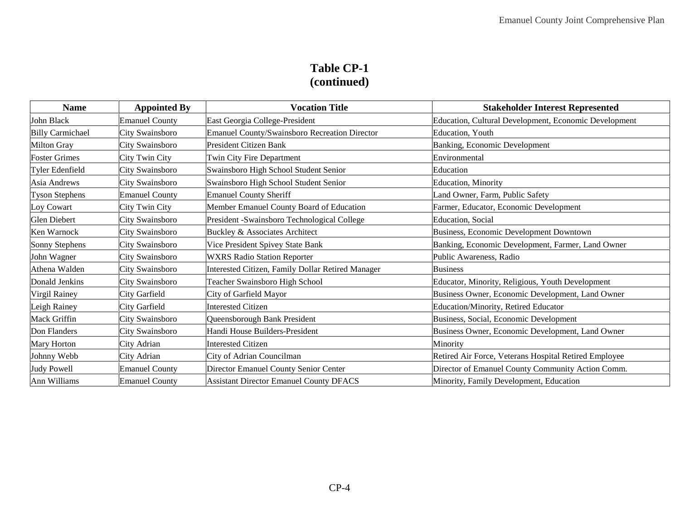# **Table CP-1 (continued)**

| <b>Name</b>             | <b>Appointed By</b>   | <b>Vocation Title</b>                             | <b>Stakeholder Interest Represented</b>               |  |  |  |  |  |  |
|-------------------------|-----------------------|---------------------------------------------------|-------------------------------------------------------|--|--|--|--|--|--|
| John Black              | <b>Emanuel County</b> | East Georgia College-President                    | Education, Cultural Development, Economic Development |  |  |  |  |  |  |
| <b>Billy Carmichael</b> | City Swainsboro       | Emanuel County/Swainsboro Recreation Director     | Education, Youth                                      |  |  |  |  |  |  |
| Milton Gray             | City Swainsboro       | President Citizen Bank                            | Banking, Economic Development                         |  |  |  |  |  |  |
| <b>Foster Grimes</b>    | City Twin City        | Twin City Fire Department                         | Environmental                                         |  |  |  |  |  |  |
| Tyler Edenfield         | City Swainsboro       | Swainsboro High School Student Senior             | Education                                             |  |  |  |  |  |  |
| Asia Andrews            | City Swainsboro       | Swainsboro High School Student Senior             | Education, Minority                                   |  |  |  |  |  |  |
| <b>Tyson Stephens</b>   | <b>Emanuel County</b> | <b>Emanuel County Sheriff</b>                     | Land Owner, Farm, Public Safety                       |  |  |  |  |  |  |
| Loy Cowart              | City Twin City        | Member Emanuel County Board of Education          | Farmer, Educator, Economic Development                |  |  |  |  |  |  |
| <b>Glen Diebert</b>     | City Swainsboro       | President -Swainsboro Technological College       | Education, Social                                     |  |  |  |  |  |  |
| Ken Warnock             | City Swainsboro       | Buckley & Associates Architect                    | Business, Economic Development Downtown               |  |  |  |  |  |  |
| Sonny Stephens          | City Swainsboro       | Vice President Spivey State Bank                  | Banking, Economic Development, Farmer, Land Owner     |  |  |  |  |  |  |
| John Wagner             | City Swainsboro       | <b>WXRS Radio Station Reporter</b>                | Public Awareness, Radio                               |  |  |  |  |  |  |
| Athena Walden           | City Swainsboro       | Interested Citizen, Family Dollar Retired Manager | <b>Business</b>                                       |  |  |  |  |  |  |
| Donald Jenkins          | City Swainsboro       | Teacher Swainsboro High School                    | Educator, Minority, Religious, Youth Development      |  |  |  |  |  |  |
| Virgil Rainey           | City Garfield         | City of Garfield Mayor                            | Business Owner, Economic Development, Land Owner      |  |  |  |  |  |  |
| Leigh Rainey            | City Garfield         | <b>Interested Citizen</b>                         | Education/Minority, Retired Educator                  |  |  |  |  |  |  |
| Mack Griffin            | City Swainsboro       | Queensborough Bank President                      | Business, Social, Economic Development                |  |  |  |  |  |  |
| Don Flanders            | City Swainsboro       | Handi House Builders-President                    | Business Owner, Economic Development, Land Owner      |  |  |  |  |  |  |
| Mary Horton             | City Adrian           | <b>Interested Citizen</b>                         | Minority                                              |  |  |  |  |  |  |
| Johnny Webb             | City Adrian           | City of Adrian Councilman                         | Retired Air Force, Veterans Hospital Retired Employee |  |  |  |  |  |  |
| <b>Judy Powell</b>      | <b>Emanuel County</b> | Director Emanuel County Senior Center             | Director of Emanuel County Community Action Comm.     |  |  |  |  |  |  |
| Ann Williams            | <b>Emanuel County</b> | <b>Assistant Director Emanuel County DFACS</b>    | Minority, Family Development, Education               |  |  |  |  |  |  |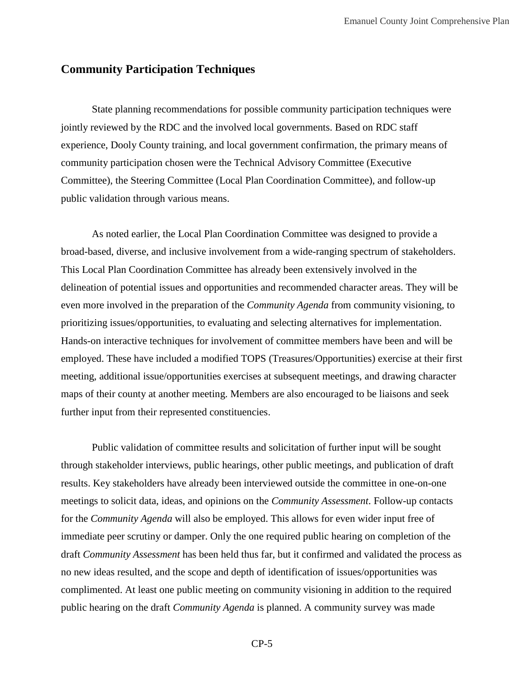## **Community Participation Techniques**

State planning recommendations for possible community participation techniques were jointly reviewed by the RDC and the involved local governments. Based on RDC staff experience, Dooly County training, and local government confirmation, the primary means of community participation chosen were the Technical Advisory Committee (Executive Committee), the Steering Committee (Local Plan Coordination Committee), and follow-up public validation through various means.

As noted earlier, the Local Plan Coordination Committee was designed to provide a broad-based, diverse, and inclusive involvement from a wide-ranging spectrum of stakeholders. This Local Plan Coordination Committee has already been extensively involved in the delineation of potential issues and opportunities and recommended character areas. They will be even more involved in the preparation of the *Community Agenda* from community visioning, to prioritizing issues/opportunities, to evaluating and selecting alternatives for implementation. Hands-on interactive techniques for involvement of committee members have been and will be employed. These have included a modified TOPS (Treasures/Opportunities) exercise at their first meeting, additional issue/opportunities exercises at subsequent meetings, and drawing character maps of their county at another meeting. Members are also encouraged to be liaisons and seek further input from their represented constituencies.

Public validation of committee results and solicitation of further input will be sought through stakeholder interviews, public hearings, other public meetings, and publication of draft results. Key stakeholders have already been interviewed outside the committee in one-on-one meetings to solicit data, ideas, and opinions on the *Community Assessment*. Follow-up contacts for the *Community Agenda* will also be employed. This allows for even wider input free of immediate peer scrutiny or damper. Only the one required public hearing on completion of the draft *Community Assessment* has been held thus far, but it confirmed and validated the process as no new ideas resulted, and the scope and depth of identification of issues/opportunities was complimented. At least one public meeting on community visioning in addition to the required public hearing on the draft *Community Agenda* is planned. A community survey was made

CP-5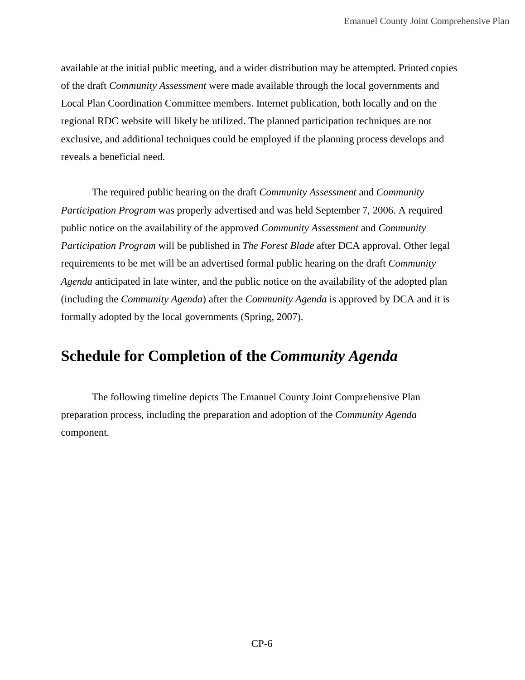available at the initial public meeting, and a wider distribution may be attempted. Printed copies of the draft *Community Assessment* were made available through the local governments and Local Plan Coordination Committee members. Internet publication, both locally and on the regional RDC website will likely be utilized. The planned participation techniques are not exclusive, and additional techniques could be employed if the planning process develops and reveals a beneficial need.

The required public hearing on the draft *Community Assessment* and *Community Participation Program* was properly advertised and was held September 7, 2006. A required public notice on the availability of the approved *Community Assessment* and *Community Participation Program* will be published in *The Forest Blade* after DCA approval. Other legal requirements to be met will be an advertised formal public hearing on the draft *Community Agenda* anticipated in late winter, and the public notice on the availability of the adopted plan (including the *Community Agenda*) after the *Community Agenda* is approved by DCA and it is formally adopted by the local governments (Spring, 2007).

## **Schedule for Completion of the** *Community Agenda*

The following timeline depicts The Emanuel County Joint Comprehensive Plan preparation process, including the preparation and adoption of the *Community Agenda* component.